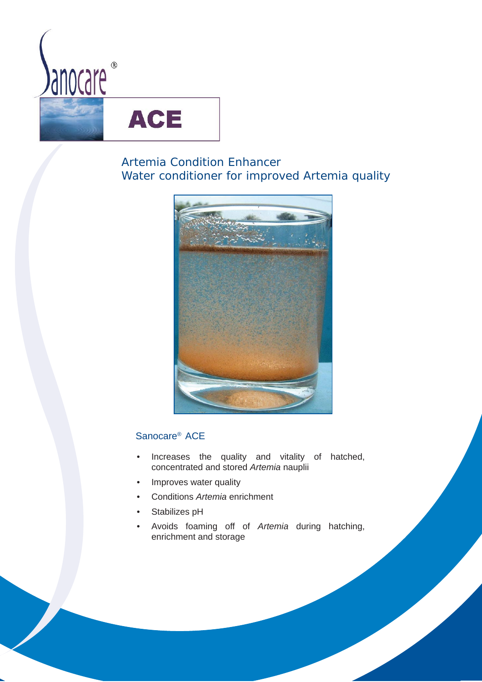

# **ACE**

# Artemia Condition Enhancer Water conditioner for improved *Artemia* quality



# Sanocare® ACE

- Increases the quality and vitality of hatched, concentrated and stored *Artemia* nauplii
- Improves water quality
- Conditions *Artemia* enrichment
- Stabilizes pH
- Avoids foaming off of *Artemia* during hatching, enrichment and storage